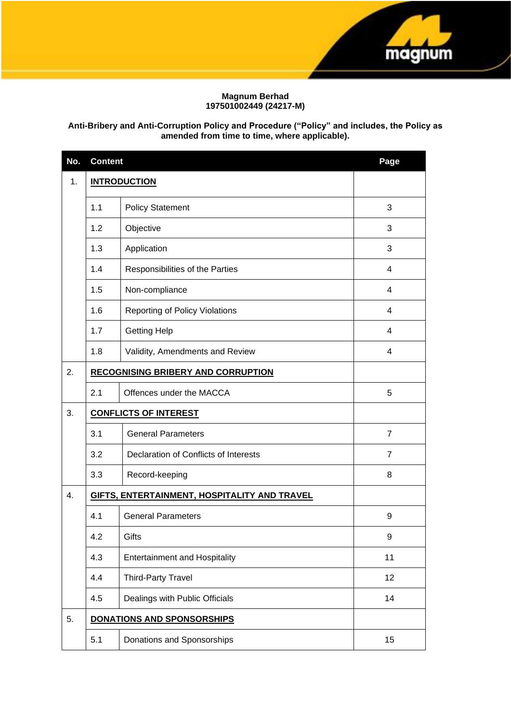

# **Magnum Berhad 197501002449 (24217-M)**

# **Anti-Bribery and Anti-Corruption Policy and Procedure ("Policy" and includes, the Policy as amended from time to time, where applicable).**

| No.           | <b>Content</b>                 | Page                                         |                |
|---------------|--------------------------------|----------------------------------------------|----------------|
| $\mathbf 1$ . | <b>INTRODUCTION</b>            |                                              |                |
|               | 1.1<br><b>Policy Statement</b> |                                              | 3              |
|               | 1.2                            | Objective                                    | 3              |
|               | 1.3                            | Application                                  | 3              |
|               | 1.4                            | Responsibilities of the Parties              | 4              |
|               | 1.5                            | Non-compliance                               | 4              |
|               | 1.6                            | <b>Reporting of Policy Violations</b>        | 4              |
|               | 1.7                            | <b>Getting Help</b>                          | $\overline{4}$ |
|               | 1.8                            | Validity, Amendments and Review              | 4              |
| 2.            |                                | <b>RECOGNISING BRIBERY AND CORRUPTION</b>    |                |
|               | 2.1                            | Offences under the MACCA                     | 5              |
| 3.            | <b>CONFLICTS OF INTEREST</b>   |                                              |                |
|               | 3.1                            | <b>General Parameters</b>                    | $\overline{7}$ |
|               | 3.2                            | Declaration of Conflicts of Interests        | $\overline{7}$ |
|               | 3.3                            | Record-keeping                               | 8              |
| 4.            |                                | GIFTS, ENTERTAINMENT, HOSPITALITY AND TRAVEL |                |
|               | 4.1                            | <b>General Parameters</b>                    | 9              |
|               | 4.2                            | Gifts                                        | 9              |
|               | 4.3                            | <b>Entertainment and Hospitality</b>         | 11             |
|               | 4.4                            | <b>Third-Party Travel</b>                    | 12             |
|               | 4.5                            | Dealings with Public Officials               | 14             |
| 5.            |                                | <b>DONATIONS AND SPONSORSHIPS</b>            |                |
|               | 5.1                            | Donations and Sponsorships                   | 15             |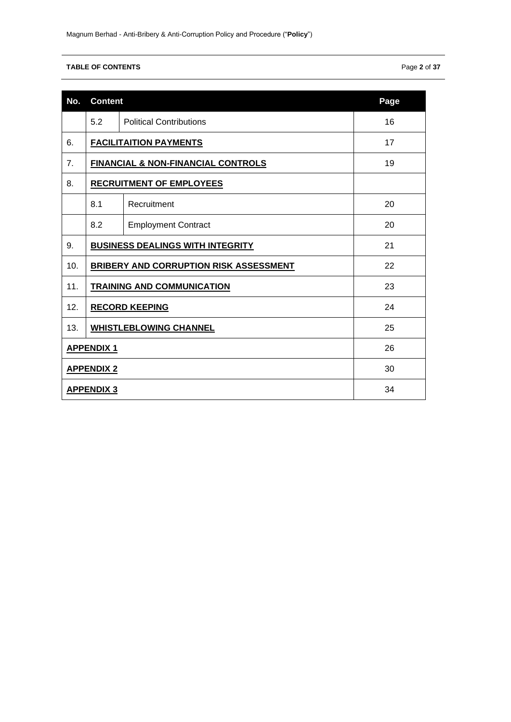# **TABLE OF CONTENTS** Page **2** of **37**

| No.               |                                         | <b>Content</b>                                |    |  |  |  |
|-------------------|-----------------------------------------|-----------------------------------------------|----|--|--|--|
|                   | 5.2                                     | <b>Political Contributions</b>                | 16 |  |  |  |
| 6.                |                                         | <b>FACILITAITION PAYMENTS</b>                 | 17 |  |  |  |
| 7.                |                                         | <b>FINANCIAL &amp; NON-FINANCIAL CONTROLS</b> | 19 |  |  |  |
| 8.                |                                         | <b>RECRUITMENT OF EMPLOYEES</b>               |    |  |  |  |
|                   | 8.1                                     | Recruitment                                   | 20 |  |  |  |
|                   | 8.2                                     | <b>Employment Contract</b>                    | 20 |  |  |  |
| 9.                | <b>BUSINESS DEALINGS WITH INTEGRITY</b> | 21                                            |    |  |  |  |
| 10.               | BRIBERY AND CORRUPTION RISK ASSESSMENT  | 22                                            |    |  |  |  |
| 11.               | <b>TRAINING AND COMMUNICATION</b><br>23 |                                               |    |  |  |  |
| 12.               | <b>RECORD KEEPING</b>                   | 24                                            |    |  |  |  |
| 13.               | <b>WHISTLEBLOWING CHANNEL</b>           | 25                                            |    |  |  |  |
| <b>APPENDIX 1</b> | 26                                      |                                               |    |  |  |  |
| <b>APPENDIX 2</b> | 30                                      |                                               |    |  |  |  |
| <b>APPENDIX 3</b> | 34                                      |                                               |    |  |  |  |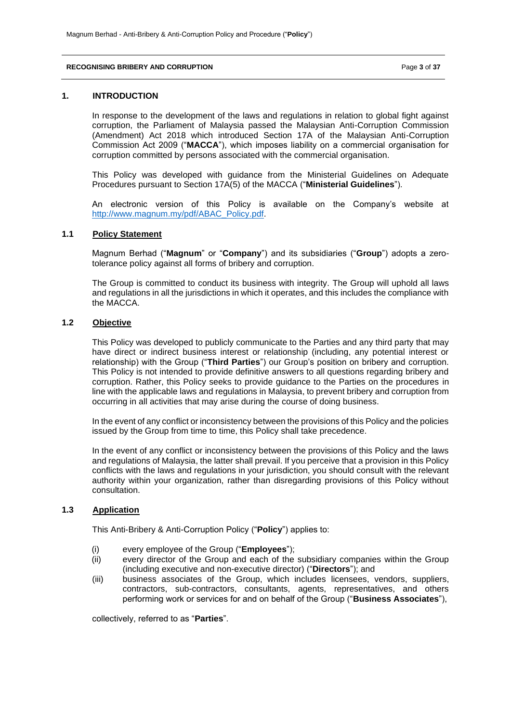#### **RECOGNISING BRIBERY AND CORRUPTION** Page **3** of **37**

### **1. INTRODUCTION**

In response to the development of the laws and regulations in relation to global fight against corruption, the Parliament of Malaysia passed the Malaysian Anti-Corruption Commission (Amendment) Act 2018 which introduced Section 17A of the Malaysian Anti-Corruption Commission Act 2009 ("**MACCA**"), which imposes liability on a commercial organisation for corruption committed by persons associated with the commercial organisation.

This Policy was developed with guidance from the Ministerial Guidelines on Adequate Procedures pursuant to Section 17A(5) of the MACCA ("**Ministerial Guidelines**").

An electronic version of this Policy is available on the Company's website at [http://www.magnum.my/pdf/ABAC\\_Policy.pdf.](http://www.magnum.my/pdf/ABAC_Policy.pdf)

## **1.1 Policy Statement**

Magnum Berhad ("**Magnum**" or "**Company**") and its subsidiaries ("**Group**") adopts a zerotolerance policy against all forms of bribery and corruption.

The Group is committed to conduct its business with integrity. The Group will uphold all laws and regulations in all the jurisdictions in which it operates, and this includes the compliance with the MACCA.

# **1.2 Objective**

This Policy was developed to publicly communicate to the Parties and any third party that may have direct or indirect business interest or relationship (including, any potential interest or relationship) with the Group ("**Third Parties**") our Group's position on bribery and corruption. This Policy is not intended to provide definitive answers to all questions regarding bribery and corruption. Rather, this Policy seeks to provide guidance to the Parties on the procedures in line with the applicable laws and regulations in Malaysia, to prevent bribery and corruption from occurring in all activities that may arise during the course of doing business.

In the event of any conflict or inconsistency between the provisions of this Policy and the policies issued by the Group from time to time, this Policy shall take precedence.

In the event of any conflict or inconsistency between the provisions of this Policy and the laws and regulations of Malaysia, the latter shall prevail. If you perceive that a provision in this Policy conflicts with the laws and regulations in your jurisdiction, you should consult with the relevant authority within your organization, rather than disregarding provisions of this Policy without consultation.

# **1.3 Application**

This Anti-Bribery & Anti-Corruption Policy ("**Policy**") applies to:

- (i) every employee of the Group ("**Employees**");
- (ii) every director of the Group and each of the subsidiary companies within the Group (including executive and non-executive director) ("**Directors**"); and
- (iii) business associates of the Group, which includes licensees, vendors, suppliers, contractors, sub-contractors, consultants, agents, representatives, and others performing work or services for and on behalf of the Group ("**Business Associates**"),

collectively, referred to as "**Parties**".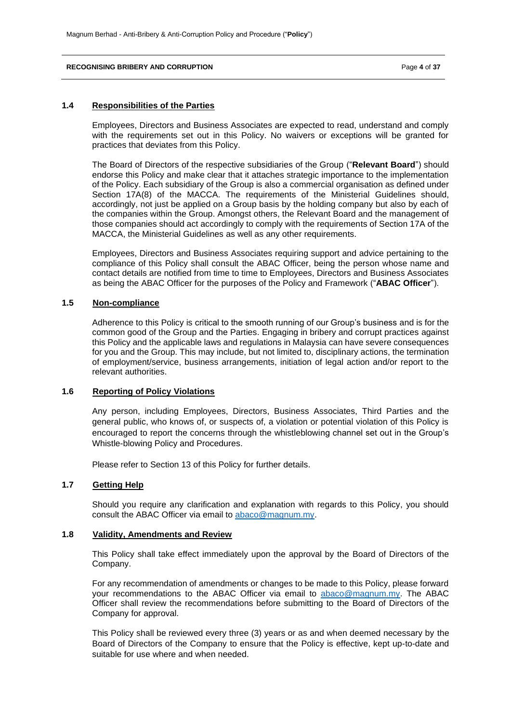### **RECOGNISING BRIBERY AND CORRUPTION** Page **4** of **37**

### **1.4 Responsibilities of the Parties**

Employees, Directors and Business Associates are expected to read, understand and comply with the requirements set out in this Policy. No waivers or exceptions will be granted for practices that deviates from this Policy.

The Board of Directors of the respective subsidiaries of the Group ("**Relevant Board**") should endorse this Policy and make clear that it attaches strategic importance to the implementation of the Policy. Each subsidiary of the Group is also a commercial organisation as defined under Section 17A(8) of the MACCA. The requirements of the Ministerial Guidelines should, accordingly, not just be applied on a Group basis by the holding company but also by each of the companies within the Group. Amongst others, the Relevant Board and the management of those companies should act accordingly to comply with the requirements of Section 17A of the MACCA, the Ministerial Guidelines as well as any other requirements.

Employees, Directors and Business Associates requiring support and advice pertaining to the compliance of this Policy shall consult the ABAC Officer, being the person whose name and contact details are notified from time to time to Employees, Directors and Business Associates as being the ABAC Officer for the purposes of the Policy and Framework ("**ABAC Officer**").

## **1.5 Non-compliance**

Adherence to this Policy is critical to the smooth running of our Group's business and is for the common good of the Group and the Parties. Engaging in bribery and corrupt practices against this Policy and the applicable laws and regulations in Malaysia can have severe consequences for you and the Group. This may include, but not limited to, disciplinary actions, the termination of employment/service, business arrangements, initiation of legal action and/or report to the relevant authorities.

## **1.6 Reporting of Policy Violations**

Any person, including Employees, Directors, Business Associates, Third Parties and the general public, who knows of, or suspects of, a violation or potential violation of this Policy is encouraged to report the concerns through the whistleblowing channel set out in the Group's Whistle-blowing Policy and Procedures.

Please refer to Section 13 of this Policy for further details.

# **1.7 Getting Help**

Should you require any clarification and explanation with regards to this Policy, you should consult the ABAC Officer via email to [abaco@magnum.my.](mailto:abaco@magnum.my)

## **1.8 Validity, Amendments and Review**

This Policy shall take effect immediately upon the approval by the Board of Directors of the Company.

For any recommendation of amendments or changes to be made to this Policy, please forward your recommendations to the ABAC Officer via email to [abaco@magnum.my.](mailto:abaco@magnum.my) The ABAC Officer shall review the recommendations before submitting to the Board of Directors of the Company for approval.

This Policy shall be reviewed every three (3) years or as and when deemed necessary by the Board of Directors of the Company to ensure that the Policy is effective, kept up-to-date and suitable for use where and when needed.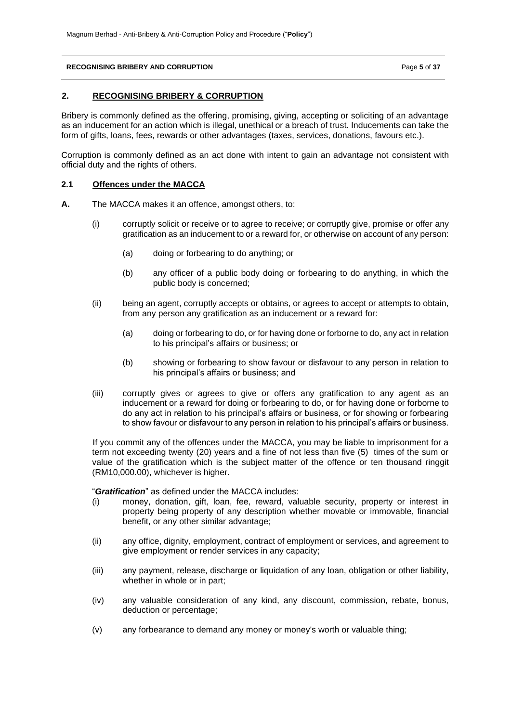## **RECOGNISING BRIBERY AND CORRUPTION** Page **5** of **37**

## **2. RECOGNISING BRIBERY & CORRUPTION**

Bribery is commonly defined as the offering, promising, giving, accepting or soliciting of an advantage as an inducement for an action which is illegal, unethical or a breach of trust. Inducements can take the form of gifts, loans, fees, rewards or other advantages (taxes, services, donations, favours etc.).

Corruption is commonly defined as an act done with intent to gain an advantage not consistent with official duty and the rights of others.

## **2.1 Offences under the MACCA**

- **A.** The MACCA makes it an offence, amongst others, to:
	- (i) corruptly solicit or receive or to agree to receive; or corruptly give, promise or offer any gratification as an inducement to or a reward for, or otherwise on account of any person:
		- (a) doing or forbearing to do anything; or
		- (b) any officer of a public body doing or forbearing to do anything, in which the public body is concerned;
	- (ii) being an agent, corruptly accepts or obtains, or agrees to accept or attempts to obtain, from any person any gratification as an inducement or a reward for:
		- (a) doing or forbearing to do, or for having done or forborne to do, any act in relation to his principal's affairs or business; or
		- (b) showing or forbearing to show favour or disfavour to any person in relation to his principal's affairs or business; and
	- (iii) corruptly gives or agrees to give or offers any gratification to any agent as an inducement or a reward for doing or forbearing to do, or for having done or forborne to do any act in relation to his principal's affairs or business, or for showing or forbearing to show favour or disfavour to any person in relation to his principal's affairs or business.

If you commit any of the offences under the MACCA, you may be liable to imprisonment for a term not exceeding twenty (20) years and a fine of not less than five (5) times of the sum or value of the gratification which is the subject matter of the offence or ten thousand ringgit (RM10,000.00), whichever is higher.

"*Gratification*" as defined under the MACCA includes:

- (i) money, donation, gift, loan, fee, reward, valuable security, property or interest in property being property of any description whether movable or immovable, financial benefit, or any other similar advantage;
- (ii) any office, dignity, employment, contract of employment or services, and agreement to give employment or render services in any capacity;
- (iii) any payment, release, discharge or liquidation of any loan, obligation or other liability, whether in whole or in part;
- (iv) any valuable consideration of any kind, any discount, commission, rebate, bonus, deduction or percentage;
- (v) any forbearance to demand any money or money's worth or valuable thing;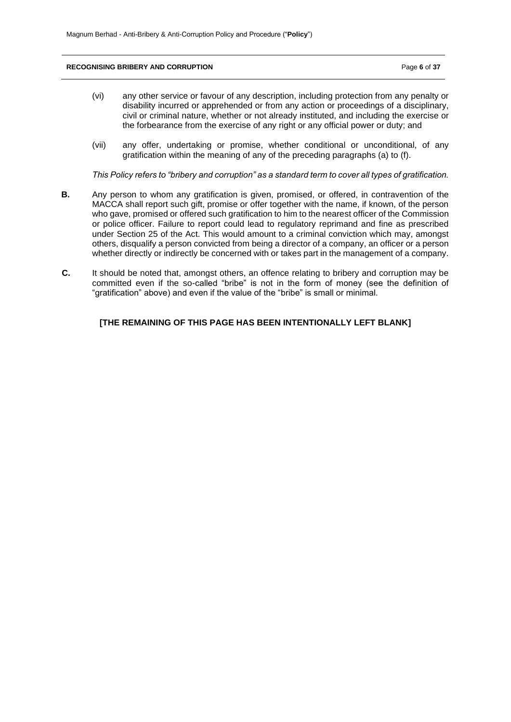#### **RECOGNISING BRIBERY AND CORRUPTION** Page **6** of **37**

- (vi) any other service or favour of any description, including protection from any penalty or disability incurred or apprehended or from any action or proceedings of a disciplinary, civil or criminal nature, whether or not already instituted, and including the exercise or the forbearance from the exercise of any right or any official power or duty; and
- (vii) any offer, undertaking or promise, whether conditional or unconditional, of any gratification within the meaning of any of the preceding paragraphs (a) to (f).

*This Policy refers to "bribery and corruption" as a standard term to cover all types of gratification.*

- **B.** Any person to whom any gratification is given, promised, or offered, in contravention of the MACCA shall report such gift, promise or offer together with the name, if known, of the person who gave, promised or offered such gratification to him to the nearest officer of the Commission or police officer. Failure to report could lead to regulatory reprimand and fine as prescribed under Section 25 of the Act. This would amount to a criminal conviction which may, amongst others, disqualify a person convicted from being a director of a company, an officer or a person whether directly or indirectly be concerned with or takes part in the management of a company.
- **C.** It should be noted that, amongst others, an offence relating to bribery and corruption may be committed even if the so-called "bribe" is not in the form of money (see the definition of "gratification" above) and even if the value of the "bribe" is small or minimal.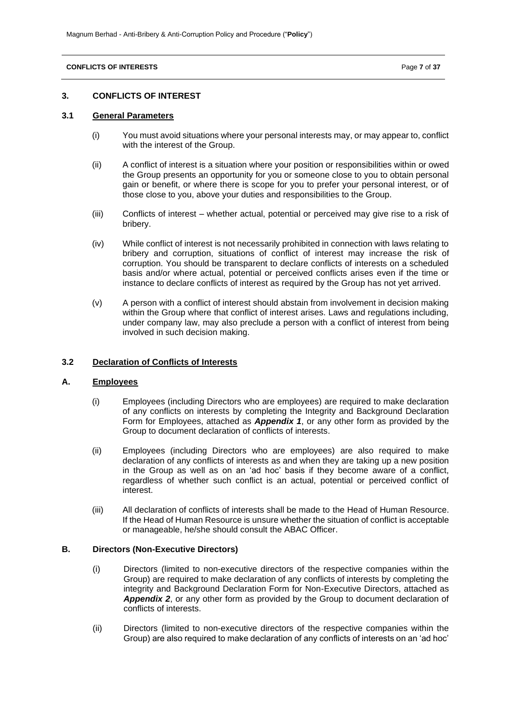#### **CONFLICTS OF INTERESTS** Page **7** of **37**

### **3. CONFLICTS OF INTEREST**

# **3.1 General Parameters**

- (i) You must avoid situations where your personal interests may, or may appear to, conflict with the interest of the Group.
- (ii) A conflict of interest is a situation where your position or responsibilities within or owed the Group presents an opportunity for you or someone close to you to obtain personal gain or benefit, or where there is scope for you to prefer your personal interest, or of those close to you, above your duties and responsibilities to the Group.
- (iii) Conflicts of interest whether actual, potential or perceived may give rise to a risk of bribery.
- (iv) While conflict of interest is not necessarily prohibited in connection with laws relating to bribery and corruption, situations of conflict of interest may increase the risk of corruption. You should be transparent to declare conflicts of interests on a scheduled basis and/or where actual, potential or perceived conflicts arises even if the time or instance to declare conflicts of interest as required by the Group has not yet arrived.
- (v) A person with a conflict of interest should abstain from involvement in decision making within the Group where that conflict of interest arises. Laws and regulations including, under company law, may also preclude a person with a conflict of interest from being involved in such decision making.

## **3.2 Declaration of Conflicts of Interests**

# **A. Employees**

- (i) Employees (including Directors who are employees) are required to make declaration of any conflicts on interests by completing the Integrity and Background Declaration Form for Employees, attached as *Appendix 1*, or any other form as provided by the Group to document declaration of conflicts of interests.
- (ii) Employees (including Directors who are employees) are also required to make declaration of any conflicts of interests as and when they are taking up a new position in the Group as well as on an 'ad hoc' basis if they become aware of a conflict, regardless of whether such conflict is an actual, potential or perceived conflict of interest.
- (iii) All declaration of conflicts of interests shall be made to the Head of Human Resource. If the Head of Human Resource is unsure whether the situation of conflict is acceptable or manageable, he/she should consult the ABAC Officer.

# **B. Directors (Non-Executive Directors)**

- (i) Directors (limited to non-executive directors of the respective companies within the Group) are required to make declaration of any conflicts of interests by completing the integrity and Background Declaration Form for Non-Executive Directors, attached as *Appendix 2*, or any other form as provided by the Group to document declaration of conflicts of interests.
- (ii) Directors (limited to non-executive directors of the respective companies within the Group) are also required to make declaration of any conflicts of interests on an 'ad hoc'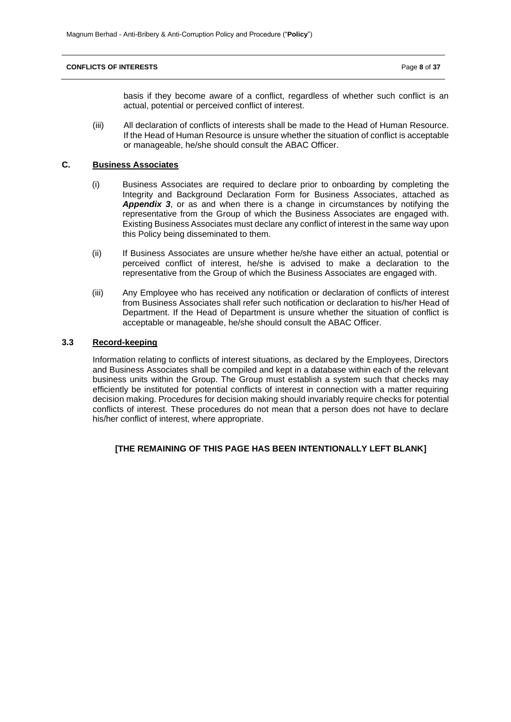#### **CONFLICTS OF INTERESTS** Page **8** of **37**

basis if they become aware of a conflict, regardless of whether such conflict is an actual, potential or perceived conflict of interest.

(iii) All declaration of conflicts of interests shall be made to the Head of Human Resource. If the Head of Human Resource is unsure whether the situation of conflict is acceptable or manageable, he/she should consult the ABAC Officer.

# **C. Business Associates**

- (i) Business Associates are required to declare prior to onboarding by completing the Integrity and Background Declaration Form for Business Associates, attached as *Appendix 3*, or as and when there is a change in circumstances by notifying the representative from the Group of which the Business Associates are engaged with. Existing Business Associates must declare any conflict of interest in the same way upon this Policy being disseminated to them.
- (ii) If Business Associates are unsure whether he/she have either an actual, potential or perceived conflict of interest, he/she is advised to make a declaration to the representative from the Group of which the Business Associates are engaged with.
- (iii) Any Employee who has received any notification or declaration of conflicts of interest from Business Associates shall refer such notification or declaration to his/her Head of Department. If the Head of Department is unsure whether the situation of conflict is acceptable or manageable, he/she should consult the ABAC Officer.

# **3.3 Record-keeping**

Information relating to conflicts of interest situations, as declared by the Employees, Directors and Business Associates shall be compiled and kept in a database within each of the relevant business units within the Group. The Group must establish a system such that checks may efficiently be instituted for potential conflicts of interest in connection with a matter requiring decision making. Procedures for decision making should invariably require checks for potential conflicts of interest. These procedures do not mean that a person does not have to declare his/her conflict of interest, where appropriate.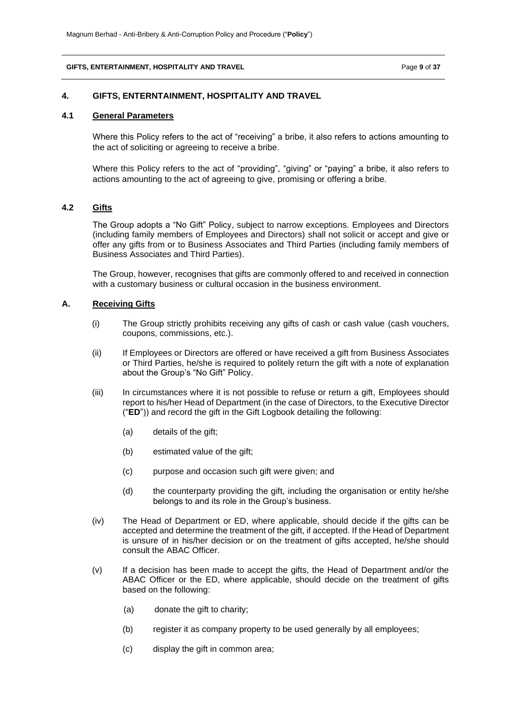#### **GIFTS, ENTERTAINMENT, HOSPITALITY AND TRAVEL** Page **9** of **37**

### **4. GIFTS, ENTERNTAINMENT, HOSPITALITY AND TRAVEL**

# **4.1 General Parameters**

Where this Policy refers to the act of "receiving" a bribe, it also refers to actions amounting to the act of soliciting or agreeing to receive a bribe.

Where this Policy refers to the act of "providing", "giving" or "paying" a bribe, it also refers to actions amounting to the act of agreeing to give, promising or offering a bribe.

# **4.2 Gifts**

The Group adopts a "No Gift" Policy, subject to narrow exceptions. Employees and Directors (including family members of Employees and Directors) shall not solicit or accept and give or offer any gifts from or to Business Associates and Third Parties (including family members of Business Associates and Third Parties).

The Group, however, recognises that gifts are commonly offered to and received in connection with a customary business or cultural occasion in the business environment.

### **A. Receiving Gifts**

- (i) The Group strictly prohibits receiving any gifts of cash or cash value (cash vouchers, coupons, commissions, etc.).
- (ii) If Employees or Directors are offered or have received a gift from Business Associates or Third Parties, he/she is required to politely return the gift with a note of explanation about the Group's "No Gift" Policy.
- (iii) In circumstances where it is not possible to refuse or return a gift, Employees should report to his/her Head of Department (in the case of Directors, to the Executive Director ("**ED**")) and record the gift in the Gift Logbook detailing the following:
	- (a) details of the gift;
	- (b) estimated value of the gift;
	- (c) purpose and occasion such gift were given; and
	- (d) the counterparty providing the gift, including the organisation or entity he/she belongs to and its role in the Group's business.
- (iv) The Head of Department or ED, where applicable, should decide if the gifts can be accepted and determine the treatment of the gift, if accepted. If the Head of Department is unsure of in his/her decision or on the treatment of gifts accepted, he/she should consult the ABAC Officer.
- (v) If a decision has been made to accept the gifts, the Head of Department and/or the ABAC Officer or the ED, where applicable, should decide on the treatment of gifts based on the following:
	- (a) donate the gift to charity;
	- (b) register it as company property to be used generally by all employees;
	- (c) display the gift in common area;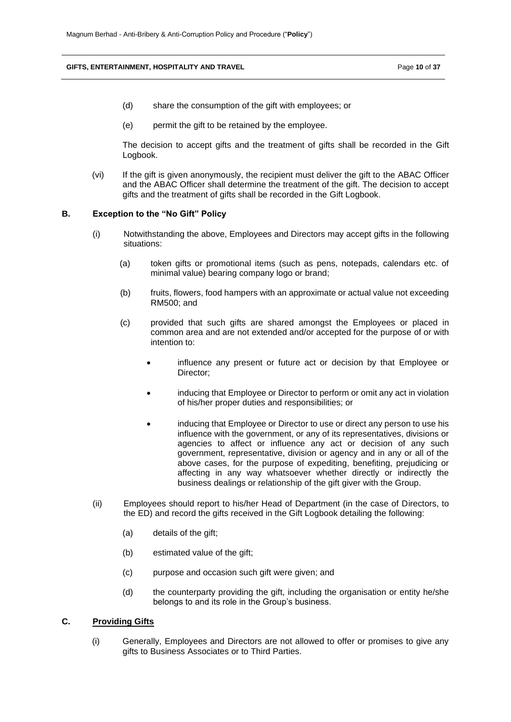### **GIFTS, ENTERTAINMENT, HOSPITALITY AND TRAVEL** Page **10** of **37**

- (d) share the consumption of the gift with employees; or
- (e) permit the gift to be retained by the employee.

The decision to accept gifts and the treatment of gifts shall be recorded in the Gift Logbook.

(vi) If the gift is given anonymously, the recipient must deliver the gift to the ABAC Officer and the ABAC Officer shall determine the treatment of the gift. The decision to accept gifts and the treatment of gifts shall be recorded in the Gift Logbook.

### **B. Exception to the "No Gift" Policy**

- (i) Notwithstanding the above, Employees and Directors may accept gifts in the following situations:
	- (a) token gifts or promotional items (such as pens, notepads, calendars etc. of minimal value) bearing company logo or brand;
	- (b) fruits, flowers, food hampers with an approximate or actual value not exceeding RM500; and
	- (c) provided that such gifts are shared amongst the Employees or placed in common area and are not extended and/or accepted for the purpose of or with intention to:
		- influence any present or future act or decision by that Employee or Director;
		- inducing that Employee or Director to perform or omit any act in violation of his/her proper duties and responsibilities; or
		- inducing that Employee or Director to use or direct any person to use his influence with the government, or any of its representatives, divisions or agencies to affect or influence any act or decision of any such government, representative, division or agency and in any or all of the above cases, for the purpose of expediting, benefiting, prejudicing or affecting in any way whatsoever whether directly or indirectly the business dealings or relationship of the gift giver with the Group.
- (ii) Employees should report to his/her Head of Department (in the case of Directors, to the ED) and record the gifts received in the Gift Logbook detailing the following:
	- (a) details of the gift;
	- (b) estimated value of the gift;
	- (c) purpose and occasion such gift were given; and
	- (d) the counterparty providing the gift, including the organisation or entity he/she belongs to and its role in the Group's business.

# **C. Providing Gifts**

(i) Generally, Employees and Directors are not allowed to offer or promises to give any gifts to Business Associates or to Third Parties.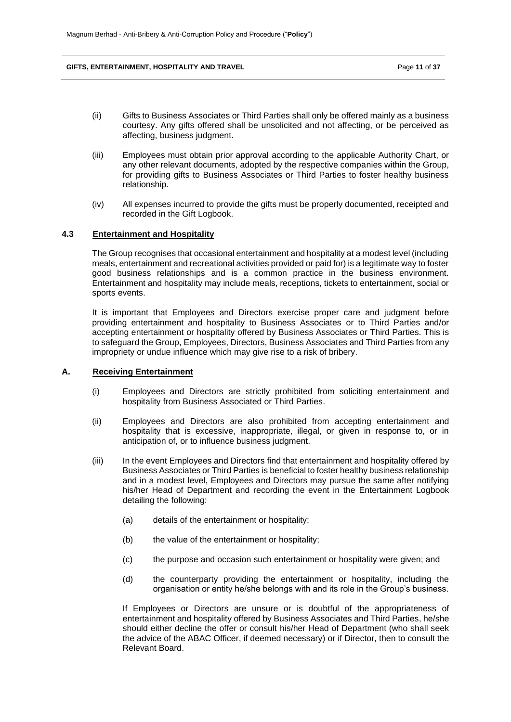#### **GIFTS, ENTERTAINMENT, HOSPITALITY AND TRAVEL Page 11 of 37** Page 11 of 37

- (ii) Gifts to Business Associates or Third Parties shall only be offered mainly as a business courtesy. Any gifts offered shall be unsolicited and not affecting, or be perceived as affecting, business judgment.
- (iii) Employees must obtain prior approval according to the applicable Authority Chart, or any other relevant documents, adopted by the respective companies within the Group, for providing gifts to Business Associates or Third Parties to foster healthy business relationship.
- (iv) All expenses incurred to provide the gifts must be properly documented, receipted and recorded in the Gift Logbook.

## **4.3 Entertainment and Hospitality**

The Group recognises that occasional entertainment and hospitality at a modest level (including meals, entertainment and recreational activities provided or paid for) is a legitimate way to foster good business relationships and is a common practice in the business environment. Entertainment and hospitality may include meals, receptions, tickets to entertainment, social or sports events.

It is important that Employees and Directors exercise proper care and judgment before providing entertainment and hospitality to Business Associates or to Third Parties and/or accepting entertainment or hospitality offered by Business Associates or Third Parties. This is to safeguard the Group, Employees, Directors, Business Associates and Third Parties from any impropriety or undue influence which may give rise to a risk of bribery.

# **A. Receiving Entertainment**

- (i) Employees and Directors are strictly prohibited from soliciting entertainment and hospitality from Business Associated or Third Parties.
- (ii) Employees and Directors are also prohibited from accepting entertainment and hospitality that is excessive, inappropriate, illegal, or given in response to, or in anticipation of, or to influence business judgment.
- (iii) In the event Employees and Directors find that entertainment and hospitality offered by Business Associates or Third Parties is beneficial to foster healthy business relationship and in a modest level, Employees and Directors may pursue the same after notifying his/her Head of Department and recording the event in the Entertainment Logbook detailing the following:
	- (a) details of the entertainment or hospitality;
	- (b) the value of the entertainment or hospitality;
	- (c) the purpose and occasion such entertainment or hospitality were given; and
	- (d) the counterparty providing the entertainment or hospitality, including the organisation or entity he/she belongs with and its role in the Group's business.

If Employees or Directors are unsure or is doubtful of the appropriateness of entertainment and hospitality offered by Business Associates and Third Parties, he/she should either decline the offer or consult his/her Head of Department (who shall seek the advice of the ABAC Officer, if deemed necessary) or if Director, then to consult the Relevant Board.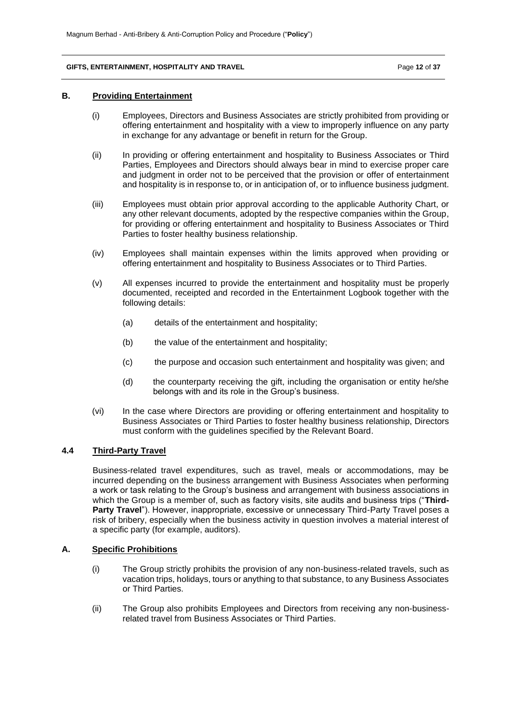### **GIFTS, ENTERTAINMENT, HOSPITALITY AND TRAVEL Page 12 of 37** Page 12 of 37

### **B. Providing Entertainment**

- (i) Employees, Directors and Business Associates are strictly prohibited from providing or offering entertainment and hospitality with a view to improperly influence on any party in exchange for any advantage or benefit in return for the Group.
- (ii) In providing or offering entertainment and hospitality to Business Associates or Third Parties, Employees and Directors should always bear in mind to exercise proper care and judgment in order not to be perceived that the provision or offer of entertainment and hospitality is in response to, or in anticipation of, or to influence business judgment.
- (iii) Employees must obtain prior approval according to the applicable Authority Chart, or any other relevant documents, adopted by the respective companies within the Group, for providing or offering entertainment and hospitality to Business Associates or Third Parties to foster healthy business relationship.
- (iv) Employees shall maintain expenses within the limits approved when providing or offering entertainment and hospitality to Business Associates or to Third Parties.
- (v) All expenses incurred to provide the entertainment and hospitality must be properly documented, receipted and recorded in the Entertainment Logbook together with the following details:
	- (a) details of the entertainment and hospitality;
	- (b) the value of the entertainment and hospitality;
	- (c) the purpose and occasion such entertainment and hospitality was given; and
	- (d) the counterparty receiving the gift, including the organisation or entity he/she belongs with and its role in the Group's business.
- (vi) In the case where Directors are providing or offering entertainment and hospitality to Business Associates or Third Parties to foster healthy business relationship, Directors must conform with the guidelines specified by the Relevant Board.

# **4.4 Third-Party Travel**

Business-related travel expenditures, such as travel, meals or accommodations, may be incurred depending on the business arrangement with Business Associates when performing a work or task relating to the Group's business and arrangement with business associations in which the Group is a member of, such as factory visits, site audits and business trips ("**Third-Party Travel**"). However, inappropriate, excessive or unnecessary Third-Party Travel poses a risk of bribery, especially when the business activity in question involves a material interest of a specific party (for example, auditors).

# **A. Specific Prohibitions**

- (i) The Group strictly prohibits the provision of any non-business-related travels, such as vacation trips, holidays, tours or anything to that substance, to any Business Associates or Third Parties.
- (ii) The Group also prohibits Employees and Directors from receiving any non-businessrelated travel from Business Associates or Third Parties.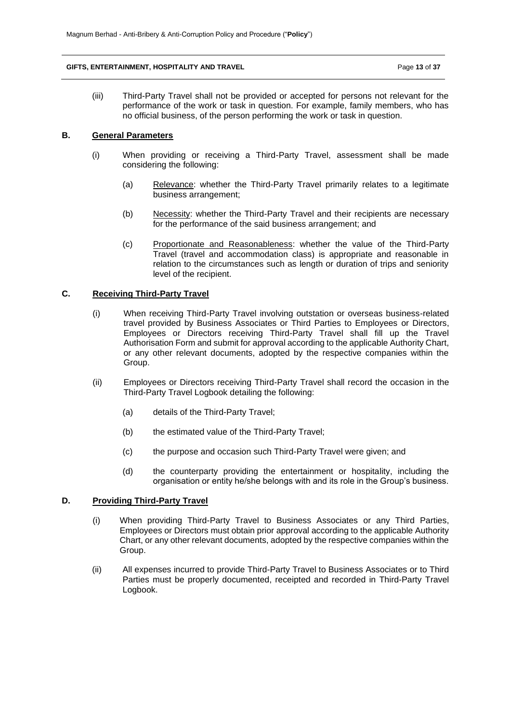### **GIFTS, ENTERTAINMENT, HOSPITALITY AND TRAVEL Page 13 of 37** Page 13 of 37

(iii) Third-Party Travel shall not be provided or accepted for persons not relevant for the performance of the work or task in question. For example, family members, who has no official business, of the person performing the work or task in question.

## **B. General Parameters**

- (i) When providing or receiving a Third-Party Travel, assessment shall be made considering the following:
	- (a) Relevance: whether the Third-Party Travel primarily relates to a legitimate business arrangement;
	- (b) Necessity: whether the Third-Party Travel and their recipients are necessary for the performance of the said business arrangement; and
	- (c) Proportionate and Reasonableness: whether the value of the Third-Party Travel (travel and accommodation class) is appropriate and reasonable in relation to the circumstances such as length or duration of trips and seniority level of the recipient.

# **C. Receiving Third-Party Travel**

- (i) When receiving Third-Party Travel involving outstation or overseas business-related travel provided by Business Associates or Third Parties to Employees or Directors, Employees or Directors receiving Third-Party Travel shall fill up the Travel Authorisation Form and submit for approval according to the applicable Authority Chart, or any other relevant documents, adopted by the respective companies within the Group.
- (ii) Employees or Directors receiving Third-Party Travel shall record the occasion in the Third-Party Travel Logbook detailing the following:
	- (a) details of the Third-Party Travel;
	- (b) the estimated value of the Third-Party Travel;
	- (c) the purpose and occasion such Third-Party Travel were given; and
	- (d) the counterparty providing the entertainment or hospitality, including the organisation or entity he/she belongs with and its role in the Group's business.

# **D. Providing Third-Party Travel**

- (i) When providing Third-Party Travel to Business Associates or any Third Parties, Employees or Directors must obtain prior approval according to the applicable Authority Chart, or any other relevant documents, adopted by the respective companies within the Group.
- (ii) All expenses incurred to provide Third-Party Travel to Business Associates or to Third Parties must be properly documented, receipted and recorded in Third-Party Travel Logbook.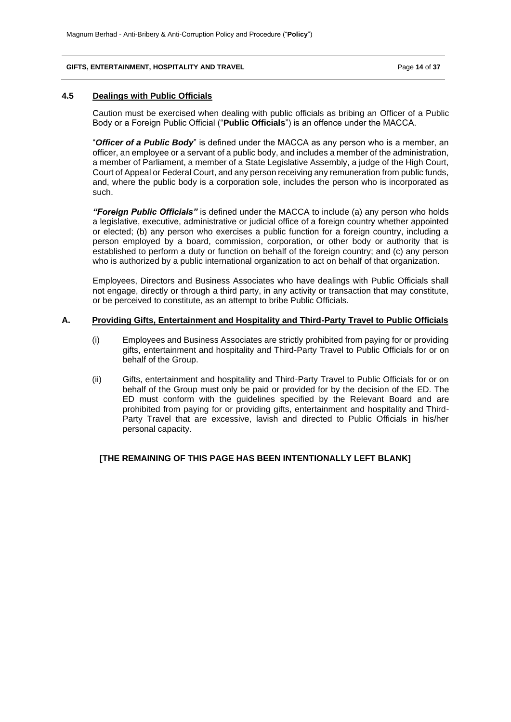#### **GIFTS, ENTERTAINMENT, HOSPITALITY AND TRAVEL Page 14 of 37** Page 14 of 37

### **4.5 Dealings with Public Officials**

Caution must be exercised when dealing with public officials as bribing an Officer of a Public Body or a Foreign Public Official ("**Public Officials**") is an offence under the MACCA.

"*Officer of a Public Body*" is defined under the MACCA as any person who is a member, an officer, an employee or a servant of a public body, and includes a member of the administration, a member of Parliament, a member of a State Legislative Assembly, a judge of the High Court, Court of Appeal or Federal Court, and any person receiving any remuneration from public funds, and, where the public body is a corporation sole, includes the person who is incorporated as such.

*"Foreign Public Officials"* is defined under the MACCA to include (a) any person who holds a legislative, executive, administrative or judicial office of a foreign country whether appointed or elected; (b) any person who exercises a public function for a foreign country, including a person employed by a board, commission, corporation, or other body or authority that is established to perform a duty or function on behalf of the foreign country; and (c) any person who is authorized by a public international organization to act on behalf of that organization.

Employees, Directors and Business Associates who have dealings with Public Officials shall not engage, directly or through a third party, in any activity or transaction that may constitute, or be perceived to constitute, as an attempt to bribe Public Officials.

## **A. Providing Gifts, Entertainment and Hospitality and Third-Party Travel to Public Officials**

- (i) Employees and Business Associates are strictly prohibited from paying for or providing gifts, entertainment and hospitality and Third-Party Travel to Public Officials for or on behalf of the Group.
- (ii) Gifts, entertainment and hospitality and Third-Party Travel to Public Officials for or on behalf of the Group must only be paid or provided for by the decision of the ED. The ED must conform with the guidelines specified by the Relevant Board and are prohibited from paying for or providing gifts, entertainment and hospitality and Third-Party Travel that are excessive, lavish and directed to Public Officials in his/her personal capacity.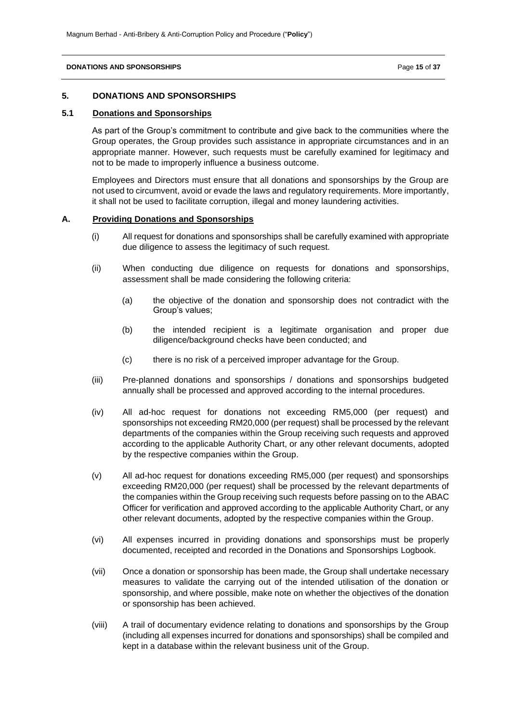#### **DONATIONS AND SPONSORSHIPS Page 15** of **37**

### **5. DONATIONS AND SPONSORSHIPS**

# **5.1 Donations and Sponsorships**

As part of the Group's commitment to contribute and give back to the communities where the Group operates, the Group provides such assistance in appropriate circumstances and in an appropriate manner. However, such requests must be carefully examined for legitimacy and not to be made to improperly influence a business outcome.

Employees and Directors must ensure that all donations and sponsorships by the Group are not used to circumvent, avoid or evade the laws and regulatory requirements. More importantly, it shall not be used to facilitate corruption, illegal and money laundering activities.

#### **A. Providing Donations and Sponsorships**

- (i) All request for donations and sponsorships shall be carefully examined with appropriate due diligence to assess the legitimacy of such request.
- (ii) When conducting due diligence on requests for donations and sponsorships, assessment shall be made considering the following criteria:
	- (a) the objective of the donation and sponsorship does not contradict with the Group's values;
	- (b) the intended recipient is a legitimate organisation and proper due diligence/background checks have been conducted; and
	- (c) there is no risk of a perceived improper advantage for the Group.
- (iii) Pre-planned donations and sponsorships / donations and sponsorships budgeted annually shall be processed and approved according to the internal procedures.
- (iv) All ad-hoc request for donations not exceeding RM5,000 (per request) and sponsorships not exceeding RM20,000 (per request) shall be processed by the relevant departments of the companies within the Group receiving such requests and approved according to the applicable Authority Chart, or any other relevant documents, adopted by the respective companies within the Group.
- (v) All ad-hoc request for donations exceeding RM5,000 (per request) and sponsorships exceeding RM20,000 (per request) shall be processed by the relevant departments of the companies within the Group receiving such requests before passing on to the ABAC Officer for verification and approved according to the applicable Authority Chart, or any other relevant documents, adopted by the respective companies within the Group.
- (vi) All expenses incurred in providing donations and sponsorships must be properly documented, receipted and recorded in the Donations and Sponsorships Logbook.
- (vii) Once a donation or sponsorship has been made, the Group shall undertake necessary measures to validate the carrying out of the intended utilisation of the donation or sponsorship, and where possible, make note on whether the objectives of the donation or sponsorship has been achieved.
- (viii) A trail of documentary evidence relating to donations and sponsorships by the Group (including all expenses incurred for donations and sponsorships) shall be compiled and kept in a database within the relevant business unit of the Group.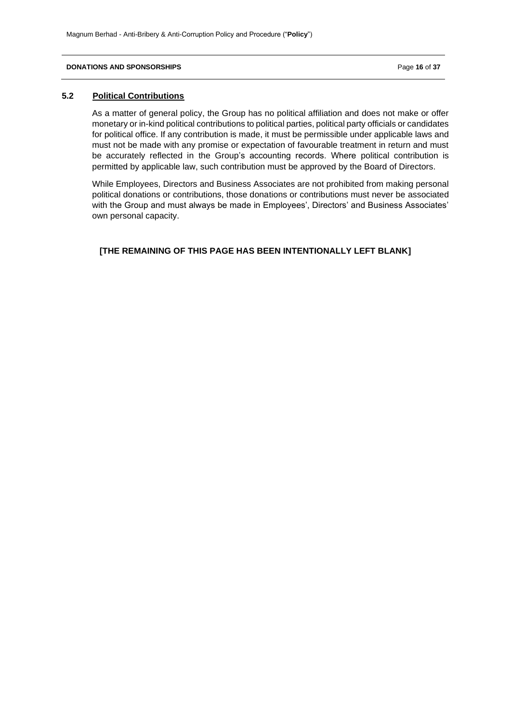#### **DONATIONS AND SPONSORSHIPS Page 16** of 37

# **5.2 Political Contributions**

As a matter of general policy, the Group has no political affiliation and does not make or offer monetary or in-kind political contributions to political parties, political party officials or candidates for political office. If any contribution is made, it must be permissible under applicable laws and must not be made with any promise or expectation of favourable treatment in return and must be accurately reflected in the Group's accounting records. Where political contribution is permitted by applicable law, such contribution must be approved by the Board of Directors.

While Employees, Directors and Business Associates are not prohibited from making personal political donations or contributions, those donations or contributions must never be associated with the Group and must always be made in Employees', Directors' and Business Associates' own personal capacity.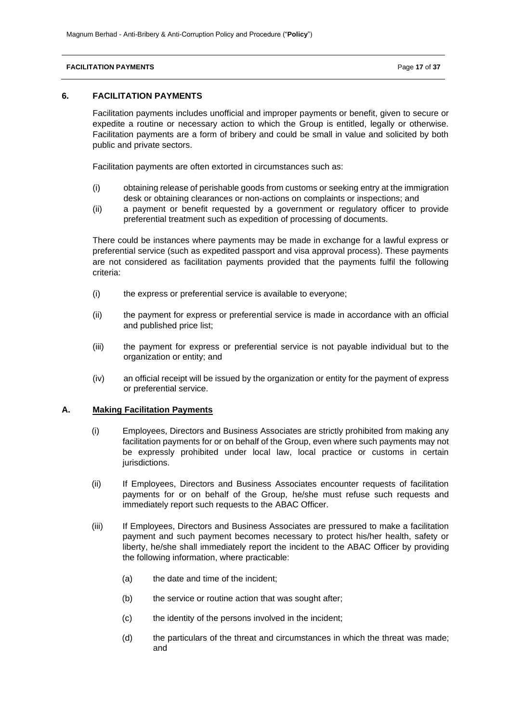#### **FACILITATION PAYMENTS** Page 17 of 37

### **6. FACILITATION PAYMENTS**

Facilitation payments includes unofficial and improper payments or benefit, given to secure or expedite a routine or necessary action to which the Group is entitled, legally or otherwise. Facilitation payments are a form of bribery and could be small in value and solicited by both public and private sectors.

Facilitation payments are often extorted in circumstances such as:

- (i) obtaining release of perishable goods from customs or seeking entry at the immigration desk or obtaining clearances or non-actions on complaints or inspections; and
- (ii) a payment or benefit requested by a government or regulatory officer to provide preferential treatment such as expedition of processing of documents.

There could be instances where payments may be made in exchange for a lawful express or preferential service (such as expedited passport and visa approval process). These payments are not considered as facilitation payments provided that the payments fulfil the following criteria:

- (i) the express or preferential service is available to everyone;
- (ii) the payment for express or preferential service is made in accordance with an official and published price list;
- (iii) the payment for express or preferential service is not payable individual but to the organization or entity; and
- (iv) an official receipt will be issued by the organization or entity for the payment of express or preferential service.

# **A. Making Facilitation Payments**

- (i) Employees, Directors and Business Associates are strictly prohibited from making any facilitation payments for or on behalf of the Group, even where such payments may not be expressly prohibited under local law, local practice or customs in certain jurisdictions.
- (ii) If Employees, Directors and Business Associates encounter requests of facilitation payments for or on behalf of the Group, he/she must refuse such requests and immediately report such requests to the ABAC Officer.
- (iii) If Employees, Directors and Business Associates are pressured to make a facilitation payment and such payment becomes necessary to protect his/her health, safety or liberty, he/she shall immediately report the incident to the ABAC Officer by providing the following information, where practicable:
	- (a) the date and time of the incident;
	- (b) the service or routine action that was sought after;
	- (c) the identity of the persons involved in the incident;
	- (d) the particulars of the threat and circumstances in which the threat was made; and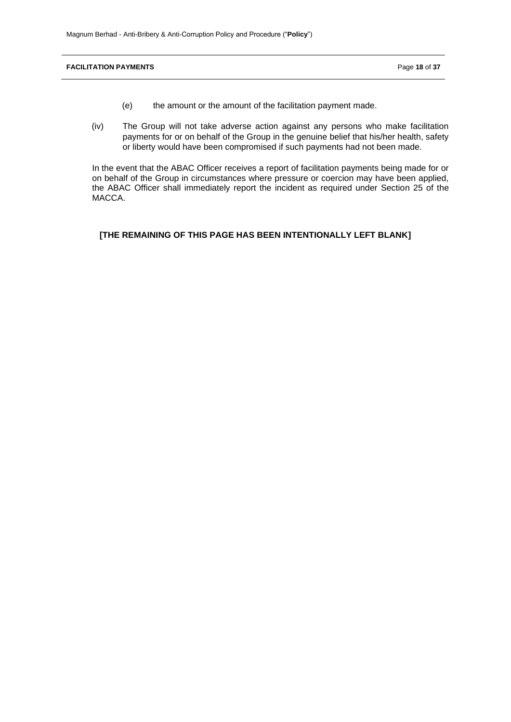**FACILITATION PAYMENTS** Page 18 of 37

- (e) the amount or the amount of the facilitation payment made.
- (iv) The Group will not take adverse action against any persons who make facilitation payments for or on behalf of the Group in the genuine belief that his/her health, safety or liberty would have been compromised if such payments had not been made.

In the event that the ABAC Officer receives a report of facilitation payments being made for or on behalf of the Group in circumstances where pressure or coercion may have been applied, the ABAC Officer shall immediately report the incident as required under Section 25 of the MACCA.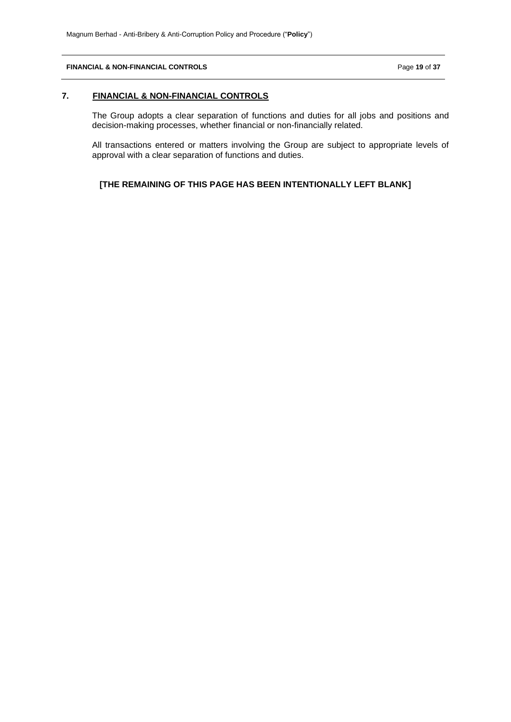## **FINANCIAL & NON-FINANCIAL CONTROLS** Page **19** of **37**

# **7. FINANCIAL & NON-FINANCIAL CONTROLS**

The Group adopts a clear separation of functions and duties for all jobs and positions and decision-making processes, whether financial or non-financially related.

All transactions entered or matters involving the Group are subject to appropriate levels of approval with a clear separation of functions and duties.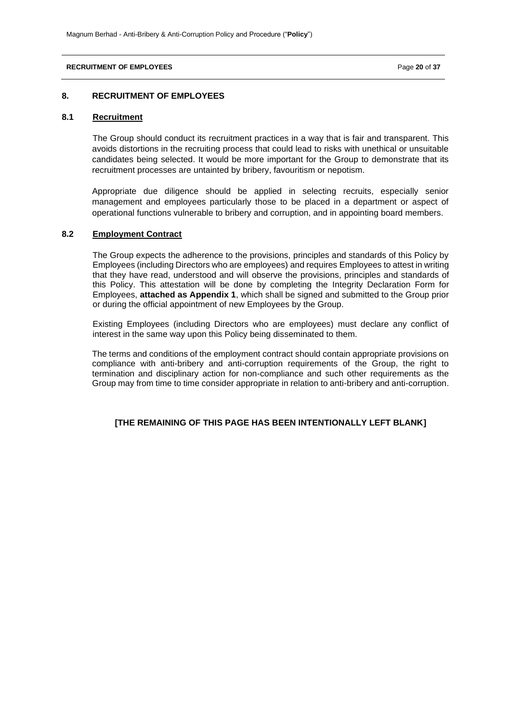#### **RECRUITMENT OF EMPLOYEES Page 20** of 37

### **8. RECRUITMENT OF EMPLOYEES**

# **8.1 Recruitment**

The Group should conduct its recruitment practices in a way that is fair and transparent. This avoids distortions in the recruiting process that could lead to risks with unethical or unsuitable candidates being selected. It would be more important for the Group to demonstrate that its recruitment processes are untainted by bribery, favouritism or nepotism.

Appropriate due diligence should be applied in selecting recruits, especially senior management and employees particularly those to be placed in a department or aspect of operational functions vulnerable to bribery and corruption, and in appointing board members.

### **8.2 Employment Contract**

The Group expects the adherence to the provisions, principles and standards of this Policy by Employees (including Directors who are employees) and requires Employees to attest in writing that they have read, understood and will observe the provisions, principles and standards of this Policy. This attestation will be done by completing the Integrity Declaration Form for Employees, **attached as Appendix 1**, which shall be signed and submitted to the Group prior or during the official appointment of new Employees by the Group.

Existing Employees (including Directors who are employees) must declare any conflict of interest in the same way upon this Policy being disseminated to them.

The terms and conditions of the employment contract should contain appropriate provisions on compliance with anti-bribery and anti-corruption requirements of the Group, the right to termination and disciplinary action for non-compliance and such other requirements as the Group may from time to time consider appropriate in relation to anti-bribery and anti-corruption.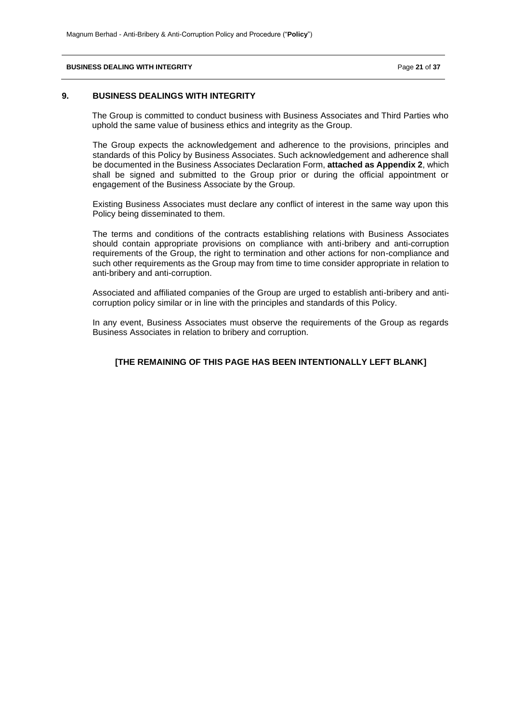#### **BUSINESS DEALING WITH INTEGRITY Page 21 of 37 Page 21 of 37**

## **9. BUSINESS DEALINGS WITH INTEGRITY**

The Group is committed to conduct business with Business Associates and Third Parties who uphold the same value of business ethics and integrity as the Group.

The Group expects the acknowledgement and adherence to the provisions, principles and standards of this Policy by Business Associates. Such acknowledgement and adherence shall be documented in the Business Associates Declaration Form, **attached as Appendix 2**, which shall be signed and submitted to the Group prior or during the official appointment or engagement of the Business Associate by the Group.

Existing Business Associates must declare any conflict of interest in the same way upon this Policy being disseminated to them.

The terms and conditions of the contracts establishing relations with Business Associates should contain appropriate provisions on compliance with anti-bribery and anti-corruption requirements of the Group, the right to termination and other actions for non-compliance and such other requirements as the Group may from time to time consider appropriate in relation to anti-bribery and anti-corruption.

Associated and affiliated companies of the Group are urged to establish anti-bribery and anticorruption policy similar or in line with the principles and standards of this Policy.

In any event, Business Associates must observe the requirements of the Group as regards Business Associates in relation to bribery and corruption.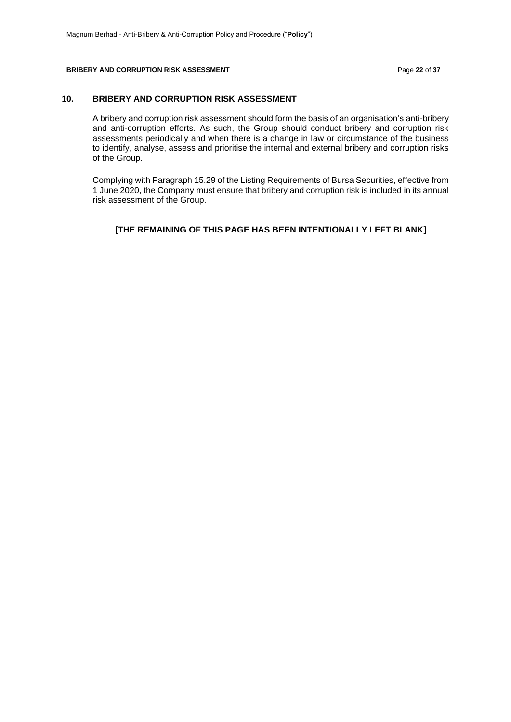#### **BRIBERY AND CORRUPTION RISK ASSESSMENT Page 22** of 37

## **10. BRIBERY AND CORRUPTION RISK ASSESSMENT**

A bribery and corruption risk assessment should form the basis of an organisation's anti-bribery and anti-corruption efforts. As such, the Group should conduct bribery and corruption risk assessments periodically and when there is a change in law or circumstance of the business to identify, analyse, assess and prioritise the internal and external bribery and corruption risks of the Group.

Complying with Paragraph 15.29 of the Listing Requirements of Bursa Securities, effective from 1 June 2020, the Company must ensure that bribery and corruption risk is included in its annual risk assessment of the Group.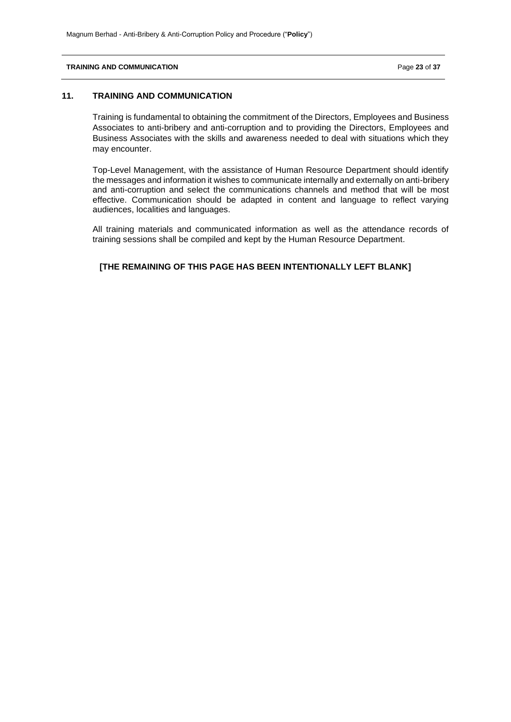#### **TRAINING AND COMMUNICATION** Page **23** of **37**

# **11. TRAINING AND COMMUNICATION**

Training is fundamental to obtaining the commitment of the Directors, Employees and Business Associates to anti-bribery and anti-corruption and to providing the Directors, Employees and Business Associates with the skills and awareness needed to deal with situations which they may encounter.

Top-Level Management, with the assistance of Human Resource Department should identify the messages and information it wishes to communicate internally and externally on anti-bribery and anti-corruption and select the communications channels and method that will be most effective. Communication should be adapted in content and language to reflect varying audiences, localities and languages.

All training materials and communicated information as well as the attendance records of training sessions shall be compiled and kept by the Human Resource Department.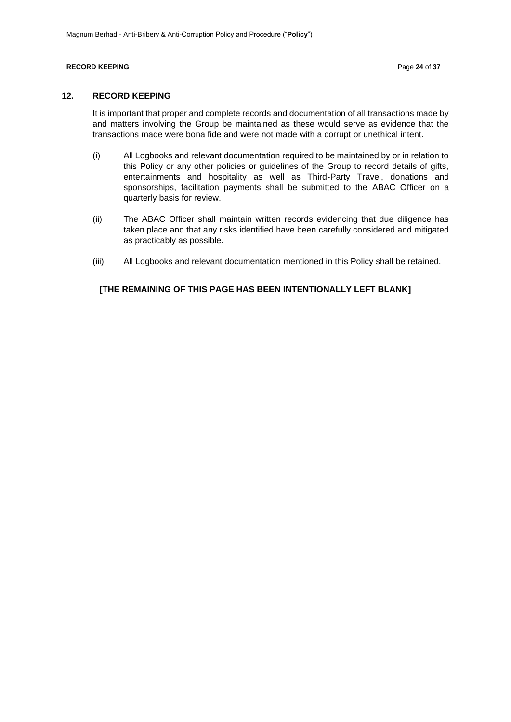### **RECORD KEEPING** Page 24 of 37

## **12. RECORD KEEPING**

It is important that proper and complete records and documentation of all transactions made by and matters involving the Group be maintained as these would serve as evidence that the transactions made were bona fide and were not made with a corrupt or unethical intent.

- (i) All Logbooks and relevant documentation required to be maintained by or in relation to this Policy or any other policies or guidelines of the Group to record details of gifts, entertainments and hospitality as well as Third-Party Travel, donations and sponsorships, facilitation payments shall be submitted to the ABAC Officer on a quarterly basis for review.
- (ii) The ABAC Officer shall maintain written records evidencing that due diligence has taken place and that any risks identified have been carefully considered and mitigated as practicably as possible.
- (iii) All Logbooks and relevant documentation mentioned in this Policy shall be retained.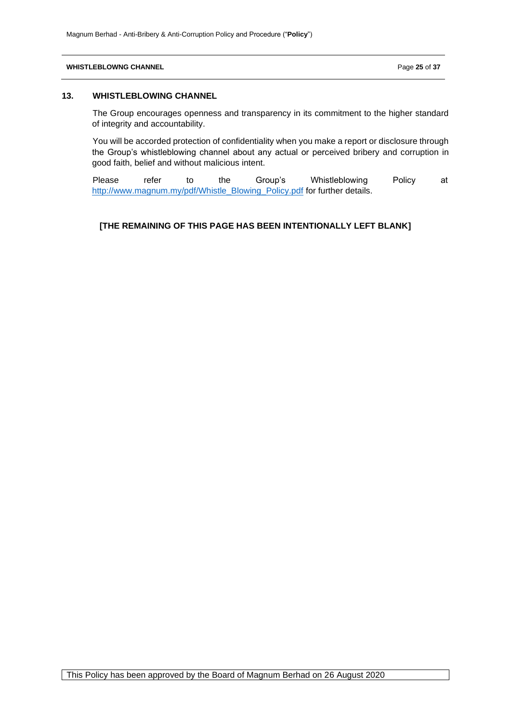#### **WHISTLEBLOWNG CHANNEL Page 25 of 37**

### **13. WHISTLEBLOWING CHANNEL**

The Group encourages openness and transparency in its commitment to the higher standard of integrity and accountability.

You will be accorded protection of confidentiality when you make a report or disclosure through the Group's whistleblowing channel about any actual or perceived bribery and corruption in good faith, belief and without malicious intent.

Please refer to the Group's Whistleblowing Policy at [http://www.magnum.my/pdf/Whistle\\_Blowing\\_Policy.pdf](http://www.magnum.my/pdf/Whistle_Blowing_Policy.pdf) for further details.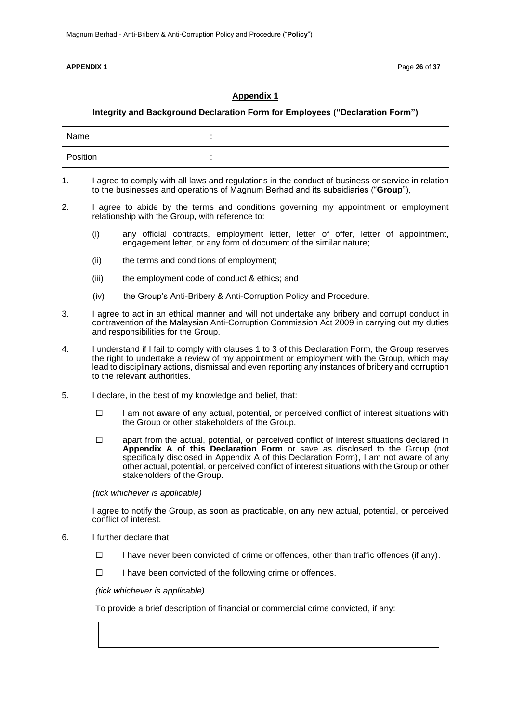#### **APPENDIX 1** Page 26 of 37

## **Appendix 1**

### **Integrity and Background Declaration Form for Employees ("Declaration Form")**

| Name     |  |
|----------|--|
| Position |  |

- 1. I agree to comply with all laws and regulations in the conduct of business or service in relation to the businesses and operations of Magnum Berhad and its subsidiaries ("**Group**"),
- 2. I agree to abide by the terms and conditions governing my appointment or employment relationship with the Group, with reference to:
	- (i) any official contracts, employment letter, letter of offer, letter of appointment, engagement letter, or any form of document of the similar nature;
	- (ii) the terms and conditions of employment;
	- (iii) the employment code of conduct & ethics; and
	- (iv) the Group's Anti-Bribery & Anti-Corruption Policy and Procedure.
- 3. I agree to act in an ethical manner and will not undertake any bribery and corrupt conduct in contravention of the Malaysian Anti-Corruption Commission Act 2009 in carrying out my duties and responsibilities for the Group.
- 4. I understand if I fail to comply with clauses 1 to 3 of this Declaration Form, the Group reserves the right to undertake a review of my appointment or employment with the Group, which may lead to disciplinary actions, dismissal and even reporting any instances of bribery and corruption to the relevant authorities.
- 5. I declare, in the best of my knowledge and belief, that:
	- $\square$  I am not aware of any actual, potential, or perceived conflict of interest situations with the Group or other stakeholders of the Group.
	- $\square$  apart from the actual, potential, or perceived conflict of interest situations declared in **Appendix A of this Declaration Form** or save as disclosed to the Group (not specifically disclosed in Appendix A of this Declaration Form), I am not aware of any other actual, potential, or perceived conflict of interest situations with the Group or other stakeholders of the Group.

*(tick whichever is applicable)*

I agree to notify the Group, as soon as practicable, on any new actual, potential, or perceived conflict of interest.

- 6. I further declare that:
	- $\Box$  I have never been convicted of crime or offences, other than traffic offences (if any).
	- $\Box$  I have been convicted of the following crime or offences.

#### *(tick whichever is applicable)*

To provide a brief description of financial or commercial crime convicted, if any: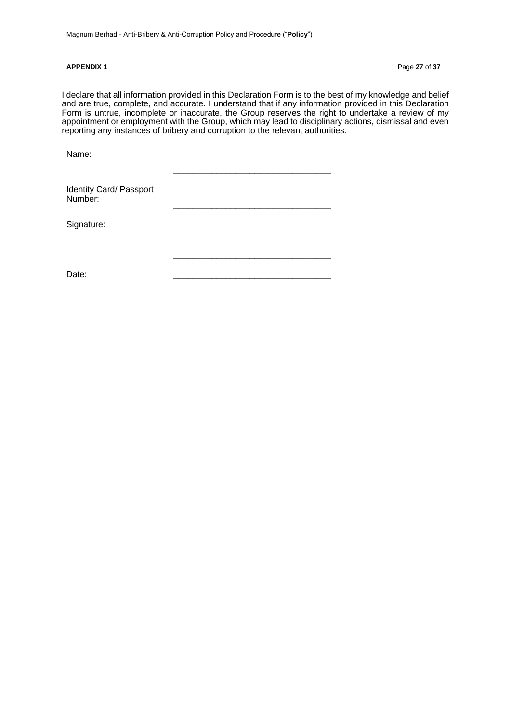#### **APPENDIX 1** Page 27 of 37

I declare that all information provided in this Declaration Form is to the best of my knowledge and belief and are true, complete, and accurate. I understand that if any information provided in this Declaration Form is untrue, incomplete or inaccurate, the Group reserves the right to undertake a review of my appointment or employment with the Group, which may lead to disciplinary actions, dismissal and even reporting any instances of bribery and corruption to the relevant authorities.

\_\_\_\_\_\_\_\_\_\_\_\_\_\_\_\_\_\_\_\_\_\_\_\_\_\_\_\_\_\_\_\_\_

\_\_\_\_\_\_\_\_\_\_\_\_\_\_\_\_\_\_\_\_\_\_\_\_\_\_\_\_\_\_\_\_\_

\_\_\_\_\_\_\_\_\_\_\_\_\_\_\_\_\_\_\_\_\_\_\_\_\_\_\_\_\_\_\_\_\_

Name:

Identity Card/ Passport Number:

Signature:

Date: \_\_\_\_\_\_\_\_\_\_\_\_\_\_\_\_\_\_\_\_\_\_\_\_\_\_\_\_\_\_\_\_\_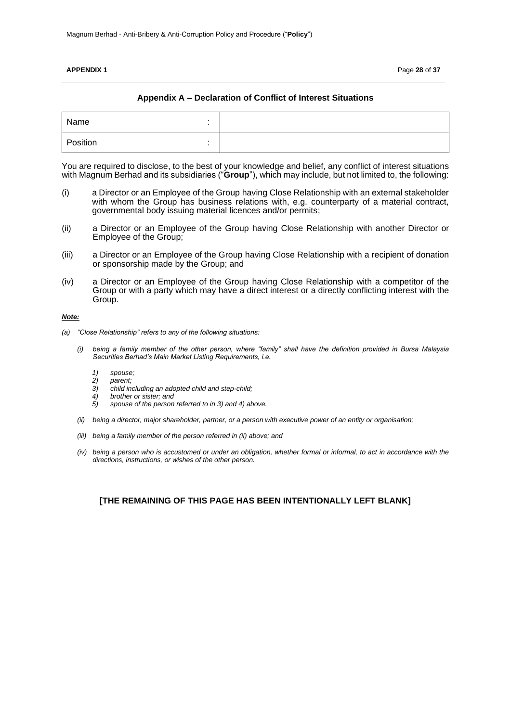#### **APPENDIX 1** Page **28** of **37**

### **Appendix A – Declaration of Conflict of Interest Situations**

| Name     |  |
|----------|--|
| Position |  |

You are required to disclose, to the best of your knowledge and belief, any conflict of interest situations with Magnum Berhad and its subsidiaries ("**Group**"), which may include, but not limited to, the following:

- (i) a Director or an Employee of the Group having Close Relationship with an external stakeholder with whom the Group has business relations with, e.g. counterparty of a material contract, governmental body issuing material licences and/or permits;
- (ii) a Director or an Employee of the Group having Close Relationship with another Director or Employee of the Group;
- (iii) a Director or an Employee of the Group having Close Relationship with a recipient of donation or sponsorship made by the Group; and
- (iv) a Director or an Employee of the Group having Close Relationship with a competitor of the Group or with a party which may have a direct interest or a directly conflicting interest with the Group.

#### *Note:*

- *(a) "Close Relationship" refers to any of the following situations:* 
	- *(i) being a family member of the other person, where "family" shall have the definition provided in Bursa Malaysia Securities Berhad's Main Market Listing Requirements, i.e.* 
		- *1) spouse; 2) parent;*
		- *3) child including an adopted child and step-child;*
		- *4) brother or sister; and*
		- *5) spouse of the person referred to in 3) and 4) above.*
	- *(ii) being a director, major shareholder, partner, or a person with executive power of an entity or organisation;*
	- *(iii) being a family member of the person referred in (ii) above; and*
	- *(iv) being a person who is accustomed or under an obligation, whether formal or informal, to act in accordance with the directions, instructions, or wishes of the other person.*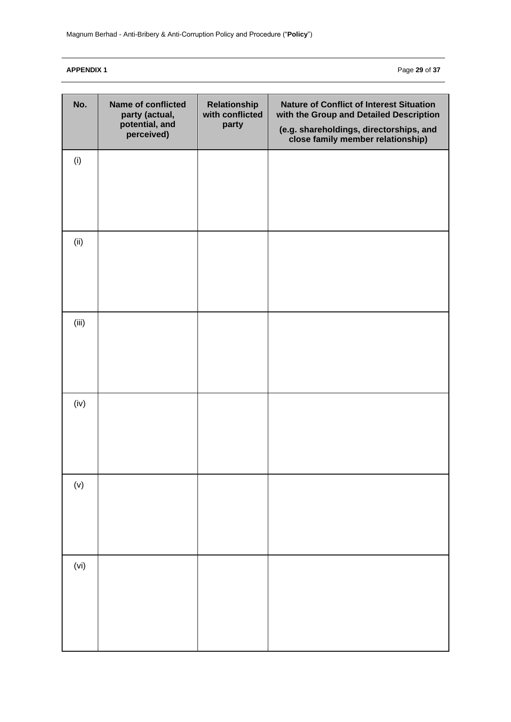**APPENDIX 1** Page **29** of **37**

| No.      | Name of conflicted<br>party (actual,<br>potential, and<br>perceived) | Relationship<br>with conflicted<br>party | <b>Nature of Conflict of Interest Situation</b><br>with the Group and Detailed Description<br>(e.g. shareholdings, directorships, and<br>close family member relationship) |
|----------|----------------------------------------------------------------------|------------------------------------------|----------------------------------------------------------------------------------------------------------------------------------------------------------------------------|
| (i)      |                                                                      |                                          |                                                                                                                                                                            |
| (ii)     |                                                                      |                                          |                                                                                                                                                                            |
| (iii)    |                                                                      |                                          |                                                                                                                                                                            |
| (iv)     |                                                                      |                                          |                                                                                                                                                                            |
| $(\vee)$ |                                                                      |                                          |                                                                                                                                                                            |
| (vi)     |                                                                      |                                          |                                                                                                                                                                            |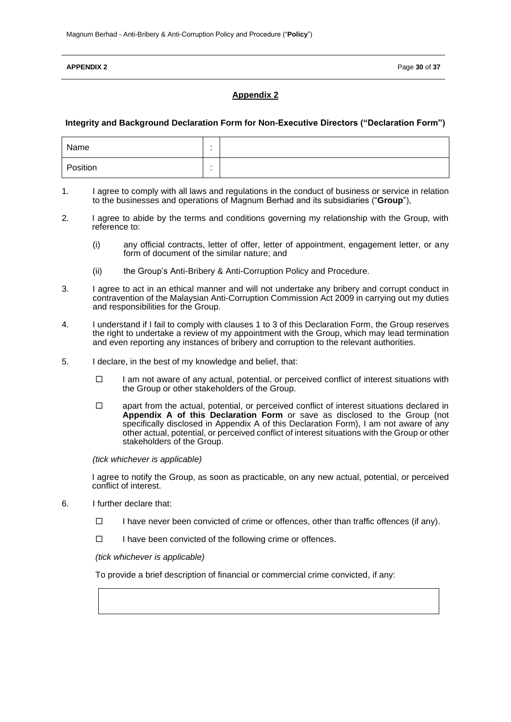#### **APPENDIX 2** Page 30 of 37

## **Appendix 2**

#### **Integrity and Background Declaration Form for Non-Executive Directors ("Declaration Form")**

| Name     |        |  |
|----------|--------|--|
| Position | $\sim$ |  |

- 1. I agree to comply with all laws and regulations in the conduct of business or service in relation to the businesses and operations of Magnum Berhad and its subsidiaries ("**Group**"),
- 2. I agree to abide by the terms and conditions governing my relationship with the Group, with reference to:
	- (i) any official contracts, letter of offer, letter of appointment, engagement letter, or any form of document of the similar nature; and
	- (ii) the Group's Anti-Bribery & Anti-Corruption Policy and Procedure.
- 3. I agree to act in an ethical manner and will not undertake any bribery and corrupt conduct in contravention of the Malaysian Anti-Corruption Commission Act 2009 in carrying out my duties and responsibilities for the Group.
- 4. I understand if I fail to comply with clauses 1 to 3 of this Declaration Form, the Group reserves the right to undertake a review of my appointment with the Group, which may lead termination and even reporting any instances of bribery and corruption to the relevant authorities.
- 5. I declare, in the best of my knowledge and belief, that:
	- $\Box$  I am not aware of any actual, potential, or perceived conflict of interest situations with the Group or other stakeholders of the Group.
	- $\Box$  apart from the actual, potential, or perceived conflict of interest situations declared in **Appendix A of this Declaration Form** or save as disclosed to the Group (not specifically disclosed in Appendix A of this Declaration Form), I am not aware of any other actual, potential, or perceived conflict of interest situations with the Group or other stakeholders of the Group.

*(tick whichever is applicable)*

I agree to notify the Group, as soon as practicable, on any new actual, potential, or perceived conflict of interest.

- 6. I further declare that:
	- $\Box$  I have never been convicted of crime or offences, other than traffic offences (if any).
	- $\Box$  I have been convicted of the following crime or offences.

*(tick whichever is applicable)*

To provide a brief description of financial or commercial crime convicted, if any: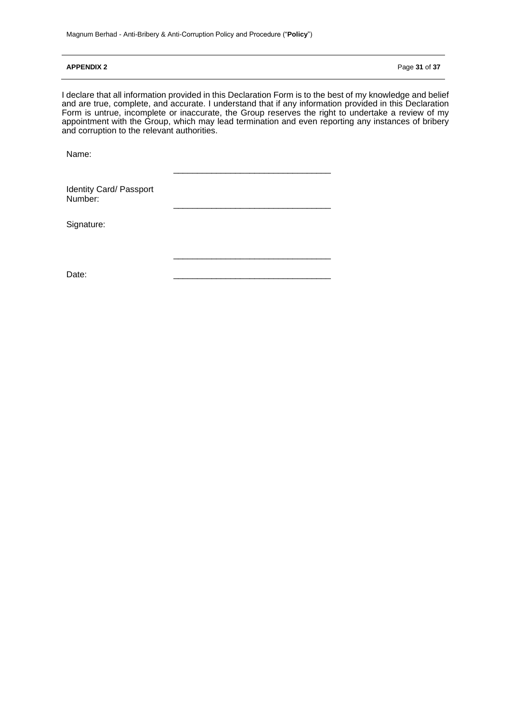### **APPENDIX 2** Page **31** of **37**

I declare that all information provided in this Declaration Form is to the best of my knowledge and belief and are true, complete, and accurate. I understand that if any information provided in this Declaration Form is untrue, incomplete or inaccurate, the Group reserves the right to undertake a review of my appointment with the Group, which may lead termination and even reporting any instances of bribery and corruption to the relevant authorities.

\_\_\_\_\_\_\_\_\_\_\_\_\_\_\_\_\_\_\_\_\_\_\_\_\_\_\_\_\_\_\_\_\_

\_\_\_\_\_\_\_\_\_\_\_\_\_\_\_\_\_\_\_\_\_\_\_\_\_\_\_\_\_\_\_\_\_

\_\_\_\_\_\_\_\_\_\_\_\_\_\_\_\_\_\_\_\_\_\_\_\_\_\_\_\_\_\_\_\_\_

Name:

Identity Card/ Passport Number:

Signature:

Date: \_\_\_\_\_\_\_\_\_\_\_\_\_\_\_\_\_\_\_\_\_\_\_\_\_\_\_\_\_\_\_\_\_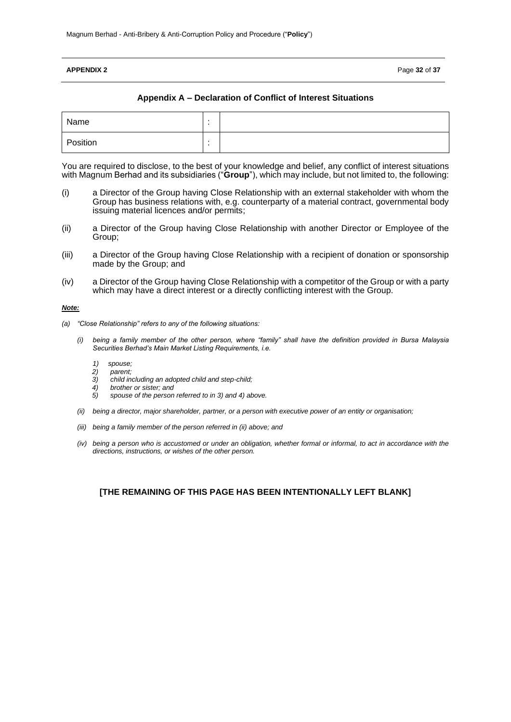### **APPENDIX 2** Page **32** of **37**

## **Appendix A – Declaration of Conflict of Interest Situations**

| Name     |         |  |
|----------|---------|--|
| Position | $\cdot$ |  |

You are required to disclose, to the best of your knowledge and belief, any conflict of interest situations with Magnum Berhad and its subsidiaries ("**Group**"), which may include, but not limited to, the following:

- (i) a Director of the Group having Close Relationship with an external stakeholder with whom the Group has business relations with, e.g. counterparty of a material contract, governmental body issuing material licences and/or permits;
- (ii) a Director of the Group having Close Relationship with another Director or Employee of the Group;
- (iii) a Director of the Group having Close Relationship with a recipient of donation or sponsorship made by the Group; and
- (iv) a Director of the Group having Close Relationship with a competitor of the Group or with a party which may have a direct interest or a directly conflicting interest with the Group.

#### *Note:*

- *(a) "Close Relationship" refers to any of the following situations:* 
	- *(i) being a family member of the other person, where "family" shall have the definition provided in Bursa Malaysia Securities Berhad's Main Market Listing Requirements, i.e.* 
		- *1) spouse;*
		- *2) parent;*
		- *3) child including an adopted child and step-child;*
		- *4) brother or sister; and 5) spouse of the person referred to in 3) and 4) above.*
	- *(ii) being a director, major shareholder, partner, or a person with executive power of an entity or organisation;*
	- *(iii) being a family member of the person referred in (ii) above; and*
	- *(iv) being a person who is accustomed or under an obligation, whether formal or informal, to act in accordance with the directions, instructions, or wishes of the other person.*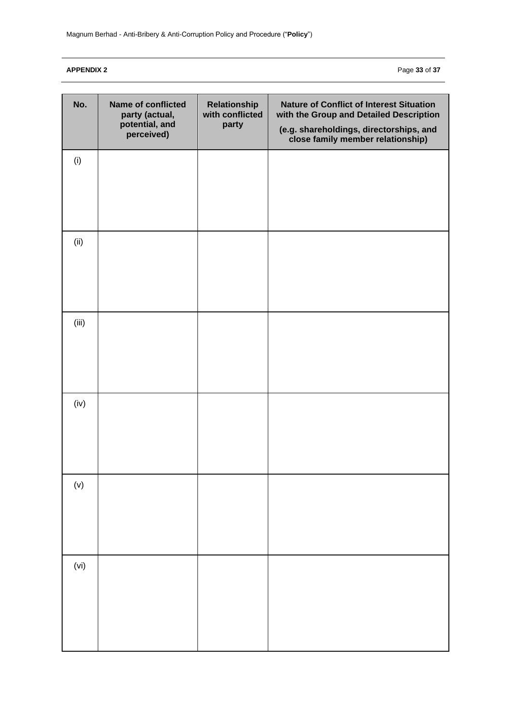**APPENDIX 2** Page **33** of **37**

| No.      | <b>Name of conflicted</b><br>party (actual,<br>potential, and<br>perceived) | Relationship<br>with conflicted<br>party | <b>Nature of Conflict of Interest Situation</b><br>with the Group and Detailed Description<br>(e.g. shareholdings, directorships, and<br>close family member relationship) |
|----------|-----------------------------------------------------------------------------|------------------------------------------|----------------------------------------------------------------------------------------------------------------------------------------------------------------------------|
| (i)      |                                                                             |                                          |                                                                                                                                                                            |
| (ii)     |                                                                             |                                          |                                                                                                                                                                            |
| (iii)    |                                                                             |                                          |                                                                                                                                                                            |
| (iv)     |                                                                             |                                          |                                                                                                                                                                            |
| $(\vee)$ |                                                                             |                                          |                                                                                                                                                                            |
| (vi)     |                                                                             |                                          |                                                                                                                                                                            |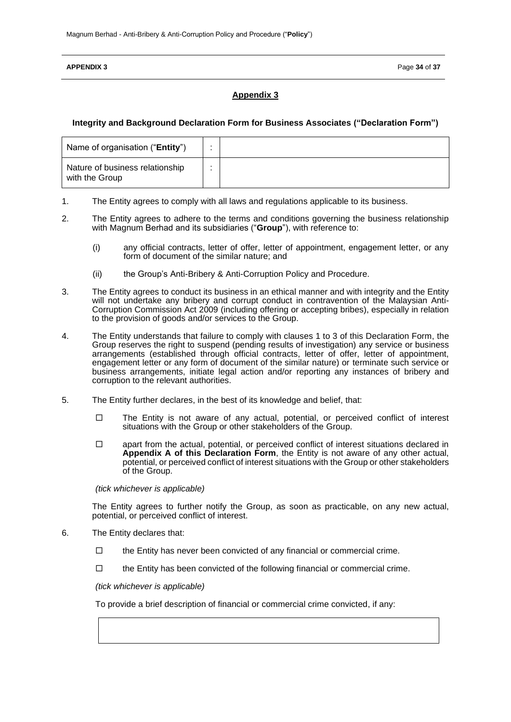#### **APPENDIX 3** Page **34** of **37**

# **Appendix 3**

### **Integrity and Background Declaration Form for Business Associates ("Declaration Form")**

| Name of organisation ("Entity")                   |  |
|---------------------------------------------------|--|
| Nature of business relationship<br>with the Group |  |

- 1. The Entity agrees to comply with all laws and regulations applicable to its business.
- 2. The Entity agrees to adhere to the terms and conditions governing the business relationship with Magnum Berhad and its subsidiaries ("**Group**"), with reference to:
	- (i) any official contracts, letter of offer, letter of appointment, engagement letter, or any form of document of the similar nature; and
	- (ii) the Group's Anti-Bribery & Anti-Corruption Policy and Procedure.
- 3. The Entity agrees to conduct its business in an ethical manner and with integrity and the Entity will not undertake any bribery and corrupt conduct in contravention of the Malaysian Anti-Corruption Commission Act 2009 (including offering or accepting bribes), especially in relation to the provision of goods and/or services to the Group.
- 4. The Entity understands that failure to comply with clauses 1 to 3 of this Declaration Form, the Group reserves the right to suspend (pending results of investigation) any service or business arrangements (established through official contracts, letter of offer, letter of appointment, engagement letter or any form of document of the similar nature) or terminate such service or business arrangements, initiate legal action and/or reporting any instances of bribery and corruption to the relevant authorities.
- 5. The Entity further declares, in the best of its knowledge and belief, that:
	- $\Box$  The Entity is not aware of any actual, potential, or perceived conflict of interest situations with the Group or other stakeholders of the Group.
	- $\Box$  apart from the actual, potential, or perceived conflict of interest situations declared in **Appendix A of this Declaration Form**, the Entity is not aware of any other actual, potential, or perceived conflict of interest situations with the Group or other stakeholders of the Group.

*(tick whichever is applicable)*

The Entity agrees to further notify the Group, as soon as practicable, on any new actual, potential, or perceived conflict of interest.

- 6. The Entity declares that:
	- $\Box$  the Entity has never been convicted of any financial or commercial crime.
	- $\Box$  the Entity has been convicted of the following financial or commercial crime.

*(tick whichever is applicable)*

To provide a brief description of financial or commercial crime convicted, if any: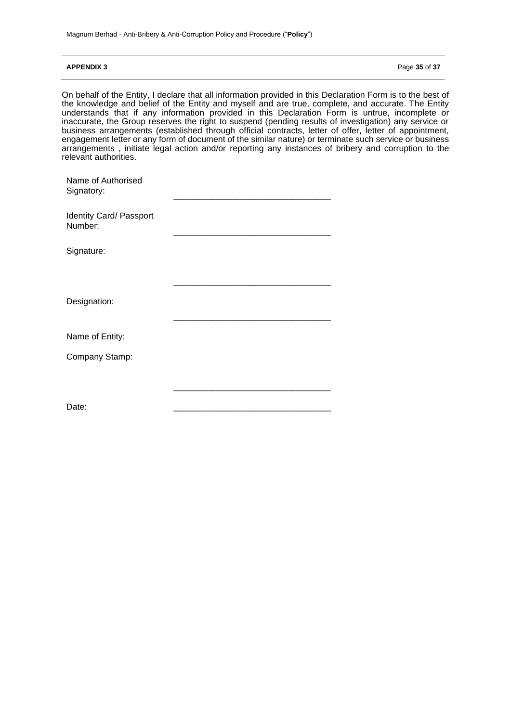#### **APPENDIX 3** Page **35** of **37**

On behalf of the Entity, I declare that all information provided in this Declaration Form is to the best of the knowledge and belief of the Entity and myself and are true, complete, and accurate. The Entity understands that if any information provided in this Declaration Form is untrue, incomplete or inaccurate, the Group reserves the right to suspend (pending results of investigation) any service or business arrangements (established through official contracts, letter of offer, letter of appointment, engagement letter or any form of document of the similar nature) or terminate such service or business arrangements , initiate legal action and/or reporting any instances of bribery and corruption to the relevant authorities.

| Name of Authorised<br>Signatory:   |  |
|------------------------------------|--|
| Identity Card/ Passport<br>Number: |  |
| Signature:                         |  |
| Designation:                       |  |
| Name of Entity:                    |  |
| Company Stamp:                     |  |
|                                    |  |
| Date:                              |  |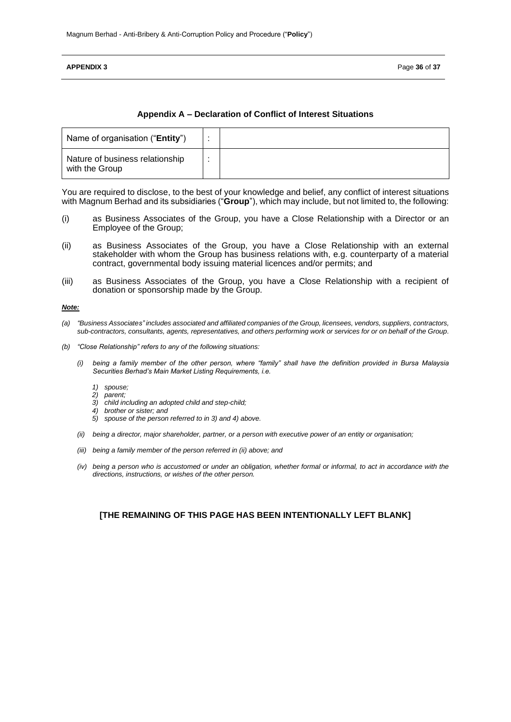#### **APPENDIX 3** Page **36** of **37**

#### **Appendix A – Declaration of Conflict of Interest Situations**

| Name of organisation ("Entity")                   |  |
|---------------------------------------------------|--|
| Nature of business relationship<br>with the Group |  |

You are required to disclose, to the best of your knowledge and belief, any conflict of interest situations with Magnum Berhad and its subsidiaries ("**Group**"), which may include, but not limited to, the following:

- (i) as Business Associates of the Group, you have a Close Relationship with a Director or an Employee of the Group;
- (ii) as Business Associates of the Group, you have a Close Relationship with an external stakeholder with whom the Group has business relations with, e.g. counterparty of a material contract, governmental body issuing material licences and/or permits; and
- (iii) as Business Associates of the Group, you have a Close Relationship with a recipient of donation or sponsorship made by the Group.

#### *Note:*

- *(a) "Business Associates" includes associated and affiliated companies of the Group, licensees, vendors, suppliers, contractors, sub-contractors, consultants, agents, representatives, and others performing work or services for or on behalf of the Group.*
- *(b) "Close Relationship" refers to any of the following situations:* 
	- *(i) being a family member of the other person, where "family" shall have the definition provided in Bursa Malaysia Securities Berhad's Main Market Listing Requirements, i.e.* 
		- *1) spouse;*
		- *2) parent;*
		- *3) child including an adopted child and step-child;*
		- *4) brother or sister; and*
		- *5) spouse of the person referred to in 3) and 4) above.*
	- *(ii) being a director, major shareholder, partner, or a person with executive power of an entity or organisation;*
	- *(iii) being a family member of the person referred in (ii) above; and*
	- *(iv) being a person who is accustomed or under an obligation, whether formal or informal, to act in accordance with the directions, instructions, or wishes of the other person.*